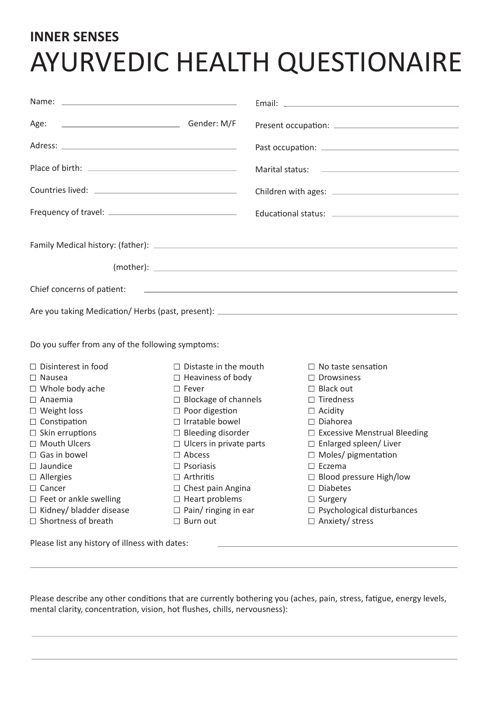## **INNER SENSES** AYURVEDIC HEALTH QUESTIONAIRE

| Gender: M/F<br>Age:                               |                                |  |                                                                                                                         |
|---------------------------------------------------|--------------------------------|--|-------------------------------------------------------------------------------------------------------------------------|
|                                                   |                                |  |                                                                                                                         |
|                                                   |                                |  |                                                                                                                         |
|                                                   |                                |  |                                                                                                                         |
|                                                   |                                |  |                                                                                                                         |
|                                                   |                                |  |                                                                                                                         |
|                                                   |                                |  |                                                                                                                         |
| Chief concerns of patient:                        |                                |  | <u> 1989 - Johann Harry Harry Harry Harry Harry Harry Harry Harry Harry Harry Harry Harry Harry Harry Harry Harry H</u> |
|                                                   |                                |  |                                                                                                                         |
| Do you suffer from any of the following symptoms: |                                |  |                                                                                                                         |
| $\Box$ Disinterest in food                        | $\Box$ Distaste in the mouth   |  | $\Box$ No taste sensation                                                                                               |
| $\Box$ Nausea                                     | $\Box$ Heaviness of body       |  | $\Box$ Drowsiness                                                                                                       |
| $\Box$ Whole body ache                            | $\Box$ Fever                   |  | $\Box$ Black out                                                                                                        |
| $\Box$ Anaemia                                    | $\Box$ Blockage of channels    |  | $\Box$ Tiredness                                                                                                        |
| $\Box$ Weight loss                                | $\Box$ Poor digestion          |  | $\Box$ Acidity                                                                                                          |
| $\Box$ Constipation                               | $\Box$ Irratable bowel         |  | $\Box$ Diahorea                                                                                                         |
| $\Box$ Skin erruptions                            | $\Box$ Bleeding disorder       |  | □ Excessive Menstrual Bleeding                                                                                          |
| □ Mouth Ulcers                                    | $\Box$ Ulcers in private parts |  | □ Enlarged spleen/ Liver                                                                                                |
| $\Box$ Gas in bowel                               | $\Box$ Abcess                  |  | $\Box$ Moles/ pigmentation                                                                                              |
| $\Box$ Jaundice                                   | $\Box$ Psoriasis               |  | $\Box$ Eczema                                                                                                           |
| $\Box$ Allergies                                  | $\Box$ Arthritis               |  | $\Box$ Blood pressure High/low                                                                                          |
| □ Cancer                                          | $\Box$ Chest pain Angina       |  | $\Box$ Diabetes                                                                                                         |
| $\Box$ Feet or ankle swelling                     | $\Box$ Heart problems          |  | $\Box$ Surgery                                                                                                          |
| $\Box$ Kidney/ bladder disease                    | $\Box$ Pain/ ringing in ear    |  | $\Box$ Psychological disturbances                                                                                       |
| $\Box$ Shortness of breath                        | $\Box$ Burn out                |  | $\Box$ Anxiety/ stress                                                                                                  |
| Please list any history of illness with dates:    |                                |  |                                                                                                                         |

Please describe any other conditions that are currently bothering you (aches, pain, stress, fatigue, energy levels, mental clarity, concentration, vision, hot flushes, chills, nervousness):